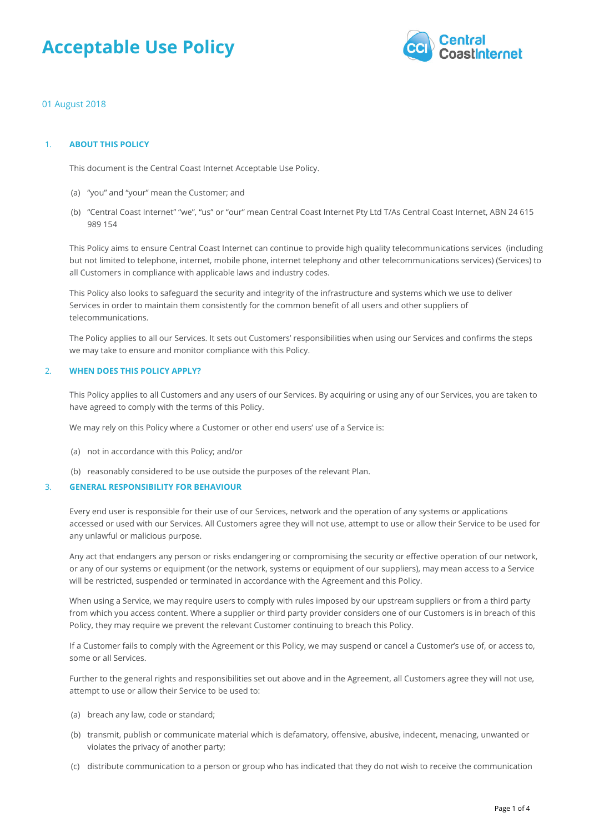# **Acceptable Use Policy**



# 01 August 2018

#### 1. **ABOUT THIS POLICY**

This document is the Central Coast Internet Acceptable Use Policy.

- (a) "you" and "your" mean the Customer; and
- "Central Coast Internet" "we", "us" or "our" mean Central Coast Internet Pty Ltd T/As Central Coast Internet, ABN 24 615 (b) 989 154

This Policy aims to ensure Central Coast Internet can continue to provide high quality telecommunications services (including but not limited to telephone, internet, mobile phone, internet telephony and other telecommunications services) (Services) to all Customers in compliance with applicable laws and industry codes.

This Policy also looks to safeguard the security and integrity of the infrastructure and systems which we use to deliver Services in order to maintain them consistently for the common benefit of all users and other suppliers of telecommunications.

The Policy applies to all our Services. It sets out Customers' responsibilities when using our Services and confirms the steps we may take to ensure and monitor compliance with this Policy.

#### 2. **WHEN DOES THIS POLICY APPLY?**

This Policy applies to all Customers and any users of our Services. By acquiring or using any of our Services, you are taken to have agreed to comply with the terms of this Policy.

We may rely on this Policy where a Customer or other end users' use of a Service is:

- (a) not in accordance with this Policy; and/or
- (b) reasonably considered to be use outside the purposes of the relevant Plan.

# 3. **GENERAL RESPONSIBILITY FOR BEHAVIOUR**

Every end user is responsible for their use of our Services, network and the operation of any systems or applications accessed or used with our Services. All Customers agree they will not use, attempt to use or allow their Service to be used for any unlawful or malicious purpose.

Any act that endangers any person or risks endangering or compromising the security or effective operation of our network, or any of our systems or equipment (or the network, systems or equipment of our suppliers), may mean access to a Service will be restricted, suspended or terminated in accordance with the Agreement and this Policy.

When using a Service, we may require users to comply with rules imposed by our upstream suppliers or from a third party from which you access content. Where a supplier or third party provider considers one of our Customers is in breach of this Policy, they may require we prevent the relevant Customer continuing to breach this Policy.

If a Customer fails to comply with the Agreement or this Policy, we may suspend or cancel a Customer's use of, or access to, some or all Services.

Further to the general rights and responsibilities set out above and in the Agreement, all Customers agree they will not use, attempt to use or allow their Service to be used to:

- (a) breach any law, code or standard;
- (b) transmit, publish or communicate material which is defamatory, offensive, abusive, indecent, menacing, unwanted or violates the privacy of another party;
- (c) distribute communication to a person or group who has indicated that they do not wish to receive the communication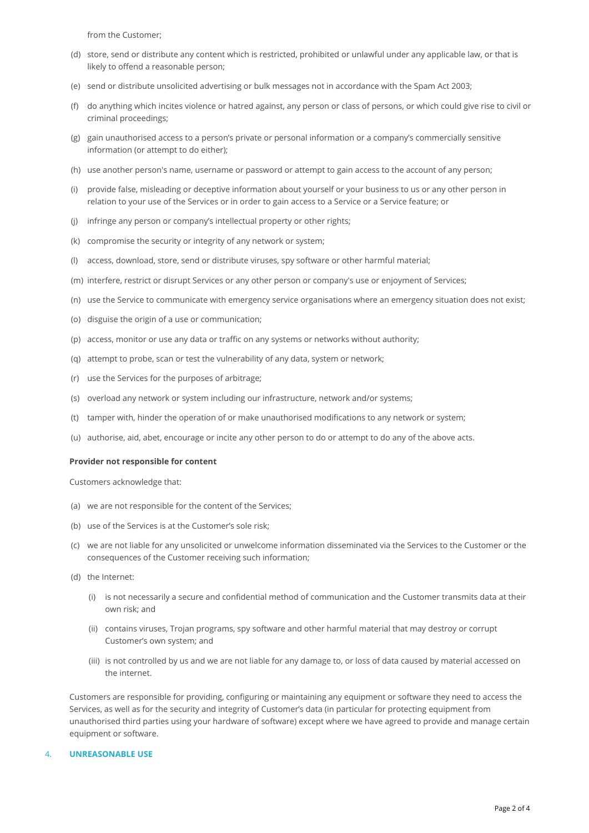from the Customer;

- (d) store, send or distribute any content which is restricted, prohibited or unlawful under any applicable law, or that is likely to offend a reasonable person;
- (e) send or distribute unsolicited advertising or bulk messages not in accordance with the Spam Act 2003;
- (f) do anything which incites violence or hatred against, any person or class of persons, or which could give rise to civil or criminal proceedings;
- (g) gain unauthorised access to a person's private or personal information or a company's commercially sensitive information (or attempt to do either);
- (h) use another person's name, username or password or attempt to gain access to the account of any person;
- (i) provide false, misleading or deceptive information about yourself or your business to us or any other person in relation to your use of the Services or in order to gain access to a Service or a Service feature; or
- (j) infringe any person or company's intellectual property or other rights;
- (k) compromise the security or integrity of any network or system;
- (l) access, download, store, send or distribute viruses, spy software or other harmful material;
- (m) interfere, restrict or disrupt Services or any other person or company's use or enjoyment of Services;
- (n) use the Service to communicate with emergency service organisations where an emergency situation does not exist;
- (o) disguise the origin of a use or communication;
- (p) access, monitor or use any data or traffic on any systems or networks without authority;
- (q) attempt to probe, scan or test the vulnerability of any data, system or network;
- (r) use the Services for the purposes of arbitrage;
- (s) overload any network or system including our infrastructure, network and/or systems;
- (t) tamper with, hinder the operation of or make unauthorised modifications to any network or system;
- (u) authorise, aid, abet, encourage or incite any other person to do or attempt to do any of the above acts.

#### **Provider not responsible for content**

Customers acknowledge that:

- (a) we are not responsible for the content of the Services;
- (b) use of the Services is at the Customer's sole risk;
- we are not liable for any unsolicited or unwelcome information disseminated via the Services to the Customer or the (c) consequences of the Customer receiving such information;
- (d) the Internet:
	- (i)  $\;$  is not necessarily a secure and confidential method of communication and the Customer transmits data at their own risk; and
	- (ii)  $\,$  contains viruses, Trojan programs, spy software and other harmful material that may destroy or corrupt Customer's own system; and
	- (iii) is not controlled by us and we are not liable for any damage to, or loss of data caused by material accessed on the internet.

Customers are responsible for providing, configuring or maintaining any equipment or software they need to access the Services, as well as for the security and integrity of Customer's data (in particular for protecting equipment from unauthorised third parties using your hardware of software) except where we have agreed to provide and manage certain equipment or software.

#### 4. **UNREASONABLE USE**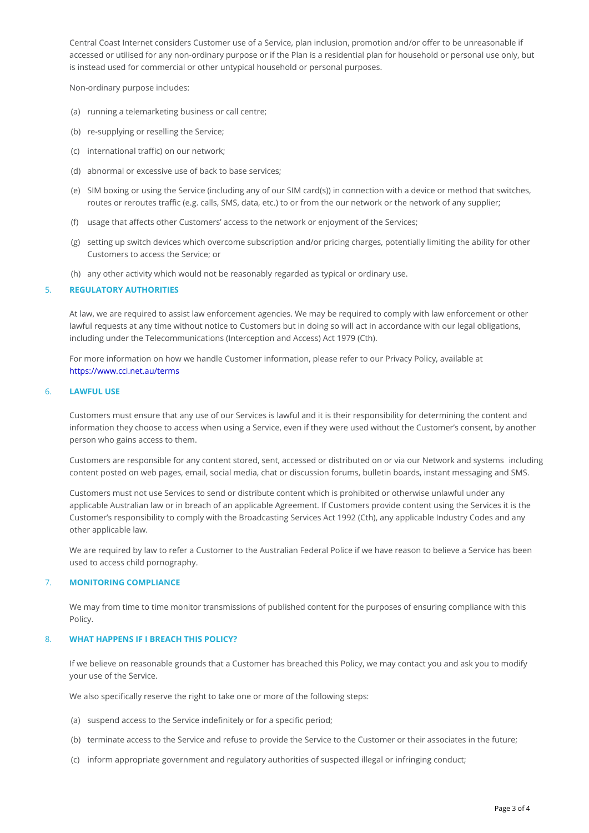Central Coast Internet considers Customer use of a Service, plan inclusion, promotion an accessed or utilised for any non-ordinary purpose or if the Plan is a residential plan for is instead used for commercial or other untypical household or personal purposes.

Non-ordinary purpose includes:

(a)running a telemarketing business or call centre;

(b)re-supplying or reselling the Service;

(c)international traffic) on our network;

(d)abnormal or excessive use of back to base services;

- (e)SIM boxing or using the Service (including any of our SIM card(s)) in connection with routes or reroutes traffic (e.g. calls, SMS, data, etc.) to or from the our network or the
- (f) usage that affects other Customers access to the network or enjoyment of the Services;
- (g)setting up switch devices which overcome subscription and/or pricing charges, potenti Customers to access the Service; or

(h)any other activity which would not be reasonably regarded as typical or ordinary use.

#### 5. REGULATORY AUTHORITIES

At law, we are required to assist law enforcement agencies. We may be required to compl lawful requests at any time without notice to Customers but in doing so will act in accord including under the Telecommunications (Interception and Access) Act 1979 (Cth).

For more information on how we handle Customer information, please refer to our Privacy [https://www.cci.net](https://www.cci.net.au/terms).au/terms

#### 6. LAWFUL USE

Customers must ensure that any use of our Services is lawful and it is their responsibilit information they choose to access when using a Service, even if they were used without t person who gains access to them.

Customers are responsible for any content stored, sent, accessed or distribunte budim or via content posted on web pages, email, social media, chat or discussion forums, bulletin bo

Customers must not use Services to send or distribute content which is prohibited or otherwise applicable Australian law or in breach of an applicable Agreement. If Customers provide Customer s responsibility to comply with the Broadcasting Services Act 1992 (Cth), any a other applicable law.

We are required by law to refer a Customer to the Australian Federal Police if we have re used to access child pornography.

### 7. MONITORING COMPLIANCE

We may from time to time monitor transmissions of published content for the purposes of Policy.

#### 8. WHAT HAPPENS IF I BREACH THIS POLICY?

If we believe on reasonable grounds that a Customer has breached this Policy, we may co your use of the Service.

We also specifically reserve the right to take one or more of the following steps:

(a)suspend access to the Service indefinitely or for a specific period;

(b)terminate access to the Service and refuse to provide the Service to the Customer or

(c)inform appropriate government and regulatory authorities of suspected illegal or infrin